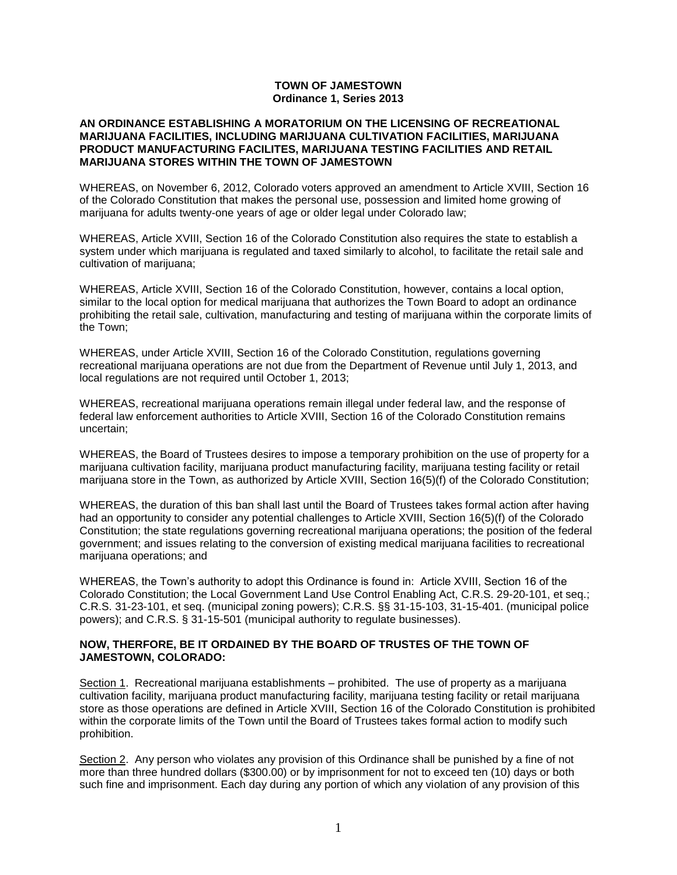## **TOWN OF JAMESTOWN Ordinance 1, Series 2013**

## **AN ORDINANCE ESTABLISHING A MORATORIUM ON THE LICENSING OF RECREATIONAL MARIJUANA FACILITIES, INCLUDING MARIJUANA CULTIVATION FACILITIES, MARIJUANA PRODUCT MANUFACTURING FACILITES, MARIJUANA TESTING FACILITIES AND RETAIL MARIJUANA STORES WITHIN THE TOWN OF JAMESTOWN**

WHEREAS, on November 6, 2012, Colorado voters approved an amendment to Article XVIII, Section 16 of the Colorado Constitution that makes the personal use, possession and limited home growing of marijuana for adults twenty-one years of age or older legal under Colorado law;

WHEREAS, Article XVIII, Section 16 of the Colorado Constitution also requires the state to establish a system under which marijuana is regulated and taxed similarly to alcohol, to facilitate the retail sale and cultivation of marijuana;

WHEREAS, Article XVIII, Section 16 of the Colorado Constitution, however, contains a local option, similar to the local option for medical marijuana that authorizes the Town Board to adopt an ordinance prohibiting the retail sale, cultivation, manufacturing and testing of marijuana within the corporate limits of the Town;

WHEREAS, under Article XVIII, Section 16 of the Colorado Constitution, regulations governing recreational marijuana operations are not due from the Department of Revenue until July 1, 2013, and local regulations are not required until October 1, 2013;

WHEREAS, recreational marijuana operations remain illegal under federal law, and the response of federal law enforcement authorities to Article XVIII, Section 16 of the Colorado Constitution remains uncertain;

WHEREAS, the Board of Trustees desires to impose a temporary prohibition on the use of property for a marijuana cultivation facility, marijuana product manufacturing facility, marijuana testing facility or retail marijuana store in the Town, as authorized by Article XVIII, Section 16(5)(f) of the Colorado Constitution;

WHEREAS, the duration of this ban shall last until the Board of Trustees takes formal action after having had an opportunity to consider any potential challenges to Article XVIII, Section 16(5)(f) of the Colorado Constitution; the state regulations governing recreational marijuana operations; the position of the federal government; and issues relating to the conversion of existing medical marijuana facilities to recreational marijuana operations; and

WHEREAS, the Town's authority to adopt this Ordinance is found in: Article XVIII, Section 16 of the Colorado Constitution; the Local Government Land Use Control Enabling Act, C.R.S. 29-20-101, et seq.; C.R.S. 31-23-101, et seq. (municipal zoning powers); C.R.S. §§ 31-15-103, 31-15-401. (municipal police powers); and C.R.S. § 31-15-501 (municipal authority to regulate businesses).

## **NOW, THERFORE, BE IT ORDAINED BY THE BOARD OF TRUSTES OF THE TOWN OF JAMESTOWN, COLORADO:**

Section 1. Recreational marijuana establishments – prohibited. The use of property as a marijuana cultivation facility, marijuana product manufacturing facility, marijuana testing facility or retail marijuana store as those operations are defined in Article XVIII, Section 16 of the Colorado Constitution is prohibited within the corporate limits of the Town until the Board of Trustees takes formal action to modify such prohibition.

Section 2. Any person who violates any provision of this Ordinance shall be punished by a fine of not more than three hundred dollars (\$300.00) or by imprisonment for not to exceed ten (10) days or both such fine and imprisonment. Each day during any portion of which any violation of any provision of this